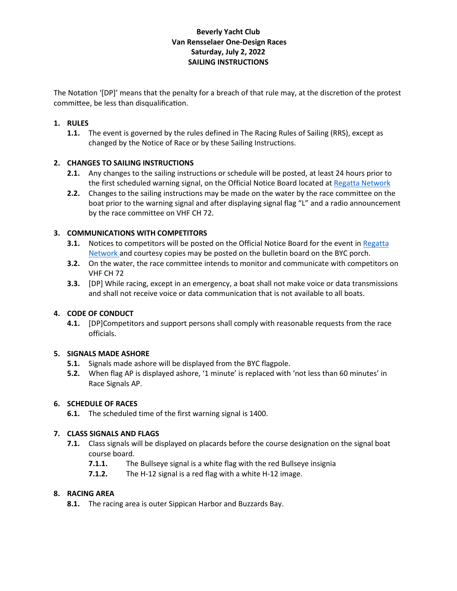# **Beverly Yacht Club Van Rensselaer One-Design Races Saturday, July 2, 2022 SAILING INSTRUCTIONS**

The Notation '[DP]' means that the penalty for a breach of that rule may, at the discretion of the protest committee, be less than disqualification.

# **1. RULES**

**1.1.** The event is governed by the rules defined in The Racing Rules of Sailing (RRS), except as changed by the Notice of Race or by these Sailing Instructions.

### **2. CHANGES TO SAILING INSTRUCTIONS**

- **2.1.** Any changes to the sailing instructions or schedule will be posted, at least 24 hours prior to the first scheduled warning signal, on the Official Notice Board located a[t Regatta Network](http://www.regattanetwork.com/clubmgmt/applet_notice_board.php?regatta_id=22647)
- **2.2.** Changes to the sailing instructions may be made on the water by the race committee on the boat prior to the warning signal and after displaying signal flag "L" and a radio announcement by the race committee on VHF CH 72.

### **3. COMMUNICATIONS WITH COMPETITORS**

- **3.1.** Notices to competitors will be posted on the Official Notice Board for the event in Regatta [Network a](http://www.regattanetwork.com/clubmgmt/applet_notice_board.php?regatta_id=22647)nd courtesy copies may be posted on the bulletin board on the BYC porch.
- **3.2.** On the water, the race committee intends to monitor and communicate with competitors on VHF CH 72
- **3.3.** [DP] While racing, except in an emergency, a boat shall not make voice or data transmissions and shall not receive voice or data communication that is not available to all boats.

### **4. CODE OF CONDUCT**

**4.1.** [DP]Competitors and support persons shall comply with reasonable requests from the race officials.

### **5. SIGNALS MADE ASHORE**

- **5.1.** Signals made ashore will be displayed from the BYC flagpole.
- **5.2.** When flag AP is displayed ashore, '1 minute' is replaced with 'not less than 60 minutes' in Race Signals AP.

### **6. SCHEDULE OF RACES**

**6.1.** The scheduled time of the first warning signal is 1400.

### **7. CLASS SIGNALS AND FLAGS**

- **7.1.** Class signals will be displayed on placards before the course designation on the signal boat course board.
	- **7.1.1.** The Bullseye signal is a white flag with the red Bullseye insignia
	- **7.1.2.** The H-12 signal is a red flag with a white H-12 image.

### **8. RACING AREA**

**8.1.** The racing area is outer Sippican Harbor and Buzzards Bay.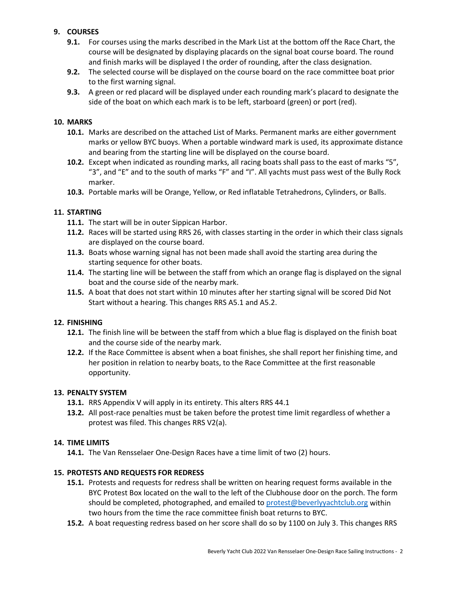# **9. COURSES**

- **9.1.** For courses using the marks described in the Mark List at the bottom off the Race Chart, the course will be designated by displaying placards on the signal boat course board. The round and finish marks will be displayed I the order of rounding, after the class designation.
- **9.2.** The selected course will be displayed on the course board on the race committee boat prior to the first warning signal.
- **9.3.** A green or red placard will be displayed under each rounding mark's placard to designate the side of the boat on which each mark is to be left, starboard (green) or port (red).

### **10. MARKS**

- **10.1.** Marks are described on the attached List of Marks. Permanent marks are either government marks or yellow BYC buoys. When a portable windward mark is used, its approximate distance and bearing from the starting line will be displayed on the course board.
- **10.2.** Except when indicated as rounding marks, all racing boats shall pass to the east of marks "5", "3", and "E" and to the south of marks "F" and "I". All yachts must pass west of the Bully Rock marker.
- **10.3.** Portable marks will be Orange, Yellow, or Red inflatable Tetrahedrons, Cylinders, or Balls.

#### **11. STARTING**

- **11.1.** The start will be in outer Sippican Harbor.
- **11.2.** Races will be started using RRS 26, with classes starting in the order in which their class signals are displayed on the course board.
- **11.3.** Boats whose warning signal has not been made shall avoid the starting area during the starting sequence for other boats.
- **11.4.** The starting line will be between the staff from which an orange flag is displayed on the signal boat and the course side of the nearby mark.
- **11.5.** A boat that does not start within 10 minutes after her starting signal will be scored Did Not Start without a hearing. This changes RRS A5.1 and A5.2.

### **12. FINISHING**

- **12.1.** The finish line will be between the staff from which a blue flag is displayed on the finish boat and the course side of the nearby mark.
- **12.2.** If the Race Committee is absent when a boat finishes, she shall report her finishing time, and her position in relation to nearby boats, to the Race Committee at the first reasonable opportunity.

#### **13. PENALTY SYSTEM**

- **13.1.** RRS Appendix V will apply in its entirety. This alters RRS 44.1
- **13.2.** All post-race penalties must be taken before the protest time limit regardless of whether a protest was filed. This changes RRS V2(a).

### **14. TIME LIMITS**

**14.1.** The Van Rensselaer One-Design Races have a time limit of two (2) hours.

### **15. PROTESTS AND REQUESTS FOR REDRESS**

- **15.1.** Protests and requests for redress shall be written on hearing request forms available in the BYC Protest Box located on the wall to the left of the Clubhouse door on the porch. The form should be completed, photographed, and emailed to [protest@beverlyyachtclub.org](mailto:protest@beverlyyachtclub.org) within two hours from the time the race committee finish boat returns to BYC.
- **15.2.** A boat requesting redress based on her score shall do so by 1100 on July 3. This changes RRS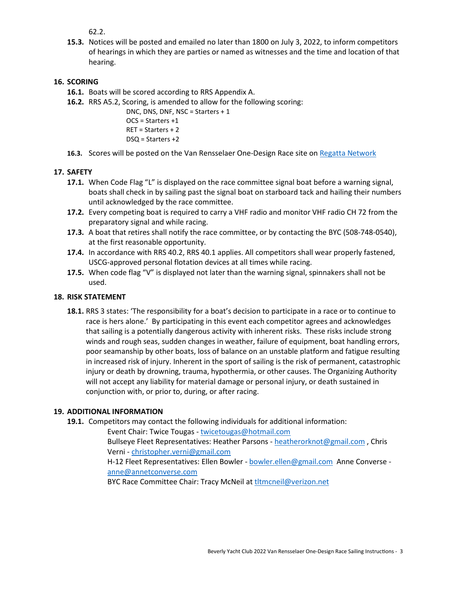62.2.

**15.3.** Notices will be posted and emailed no later than 1800 on July 3, 2022, to inform competitors of hearings in which they are parties or named as witnesses and the time and location of that hearing.

# **16. SCORING**

- **16.1.** Boats will be scored according to RRS Appendix A.
- **16.2.** RRS A5.2, Scoring, is amended to allow for the following scoring:

DNC, DNS, DNF, NSC = Starters + 1 OCS = Starters +1 RET = Starters + 2 DSQ = Starters +2

**16.3.** Scores will be posted on the Van Rensselaer One-Design Race site o[n Regatta Network](https://www.regattanetwork.com/clubmgmt/applet_regatta_results.php?regatta_id=22647)

### **17. SAFETY**

- **17.1.** When Code Flag "L" is displayed on the race committee signal boat before a warning signal, boats shall check in by sailing past the signal boat on starboard tack and hailing their numbers until acknowledged by the race committee.
- **17.2.** Every competing boat is required to carry a VHF radio and monitor VHF radio CH 72 from the preparatory signal and while racing.
- **17.3.** A boat that retires shall notify the race committee, or by contacting the BYC (508-748-0540), at the first reasonable opportunity.
- **17.4.** In accordance with RRS 40.2, RRS 40.1 applies. All competitors shall wear properly fastened, USCG-approved personal flotation devices at all times while racing.
- **17.5.** When code flag "V" is displayed not later than the warning signal, spinnakers shall not be used.

### **18. RISK STATEMENT**

**18.1.** RRS 3 states: 'The responsibility for a boat's decision to participate in a race or to continue to race is hers alone.' By participating in this event each competitor agrees and acknowledges that sailing is a potentially dangerous activity with inherent risks. These risks include strong winds and rough seas, sudden changes in weather, failure of equipment, boat handling errors, poor seamanship by other boats, loss of balance on an unstable platform and fatigue resulting in increased risk of injury. Inherent in the sport of sailing is the risk of permanent, catastrophic injury or death by drowning, trauma, hypothermia, or other causes. The Organizing Authority will not accept any liability for material damage or personal injury, or death sustained in conjunction with, or prior to, during, or after racing.

### **19. ADDITIONAL INFORMATION**

**19.1.** Competitors may contact the following individuals for additional information:

Event Chair: Twice Tougas - [twicetougas@hotmail.com](mailto:twicetougas@hotmail.com) Bullseye Fleet Representatives: Heather Parsons - [heatherorknot@gmail.com](mailto:heatherorknot@gmail.com), Chris Verni - [christopher.verni@gmail.com](mailto:christopher.verni@gmail.com) H-12 Fleet Representatives: Ellen Bowler - [bowler.ellen@gmail.com](mailto:bowler.ellen@gmail.com) Anne Converse [anne@annetconverse.com](mailto:anne@annetconverse.com) BYC Race Committee Chair: Tracy McNeil at [tltmcneil@verizon.net](mailto:tltmcneil@verizon.net)